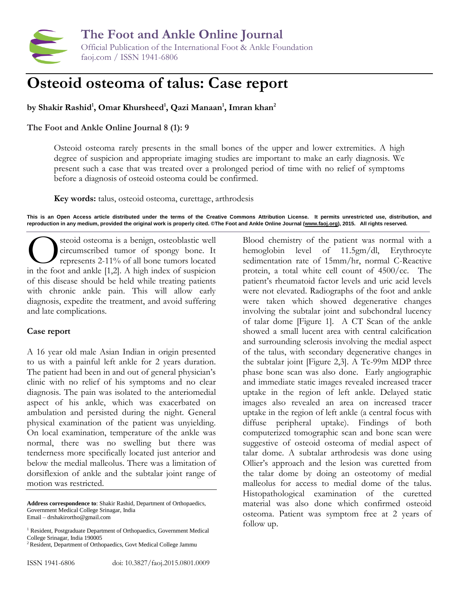

**The Foot and Ankle Online Journal** Official Publication of the International Foot & Ankle Foundation faoj.com / ISSN 1941-6806

## **Osteoid osteoma of talus: Case report**

**by Shakir Rashid<sup>1</sup> , Omar Khursheed<sup>1</sup> , Qazi Manaan<sup>1</sup> , Imran khan<sup>2</sup>**

**The Foot and Ankle Online Journal 8 (1): 9**

Osteoid osteoma rarely presents in the small bones of the upper and lower extremities. A high degree of suspicion and appropriate imaging studies are important to make an early diagnosis. We present such a case that was treated over a prolonged period of time with no relief of symptoms before a diagnosis of osteoid osteoma could be confirmed.

**Key words:** talus, osteoid osteoma, curettage, arthrodesis

**This is an Open Access article distributed under the terms of the Creative Commons Attribution License. It permits unrestricted use, distribution, and reproduction in any medium, provided the original work is properly cited. ©The Foot and Ankle Online Journal [\(www.faoj.org\)](http://www.faoj.org/), 2015. All rights reserved.**

steoid osteoma is a benign, osteoblastic well circumscribed tumor of spongy bone. It represents 2-11% of all bone tumors located steoid osteoma is a benign, osteoblastic well<br>circumscribed tumor of spongy bone. It<br>represents 2-11% of all bone tumors located<br>in the foot and ankle [1,2]. A high index of suspicion of this disease should be held while treating patients with chronic ankle pain. This will allow early diagnosis, expedite the treatment, and avoid suffering and late complications.

## **Case report**

A 16 year old male Asian Indian in origin presented to us with a painful left ankle for 2 years duration. The patient had been in and out of general physician's clinic with no relief of his symptoms and no clear diagnosis. The pain was isolated to the anteriomedial aspect of his ankle, which was exacerbated on ambulation and persisted during the night. General physical examination of the patient was unyielding. On local examination, temperature of the ankle was normal, there was no swelling but there was tenderness more specifically located just anterior and below the medial malleolus. There was a limitation of dorsiflexion of ankle and the subtalar joint range of motion was restricted.

**Address correspondence to**: Shakir Rashid, Department of Orthopaedics, Government Medical College Srinagar, India Email – drshakirortho@gmail.com

<sup>2</sup> Resident, Department of Orthopaedics, Govt Medical College Jammu

Blood chemistry of the patient was normal with a hemoglobin level of 11.5gm/dl, Erythrocyte sedimentation rate of 15mm/hr, normal C-Reactive protein, a total white cell count of 4500/cc. The patient's rheumatoid factor levels and uric acid levels were not elevated. Radiographs of the foot and ankle were taken which showed degenerative changes involving the subtalar joint and subchondral lucency of talar dome [Figure 1]. A CT Scan of the ankle showed a small lucent area with central calcification and surrounding sclerosis involving the medial aspect of the talus, with secondary degenerative changes in the subtalar joint [Figure 2,3]. A Tc-99m MDP three phase bone scan was also done. Early angiographic and immediate static images revealed increased tracer uptake in the region of left ankle. Delayed static images also revealed an area on increased tracer uptake in the region of left ankle (a central focus with diffuse peripheral uptake). Findings of both computerized tomographic scan and bone scan were suggestive of osteoid osteoma of medial aspect of talar dome. A subtalar arthrodesis was done using Ollier's approach and the lesion was curetted from the talar dome by doing an osteotomy of medial malleolus for access to medial dome of the talus. Histopathological examination of the curetted material was also done which confirmed osteoid osteoma. Patient was symptom free at 2 years of follow up.

<sup>&</sup>lt;sup>1</sup> Resident, Postgraduate Department of Orthopaedics, Government Medical College Srinagar, India 190005